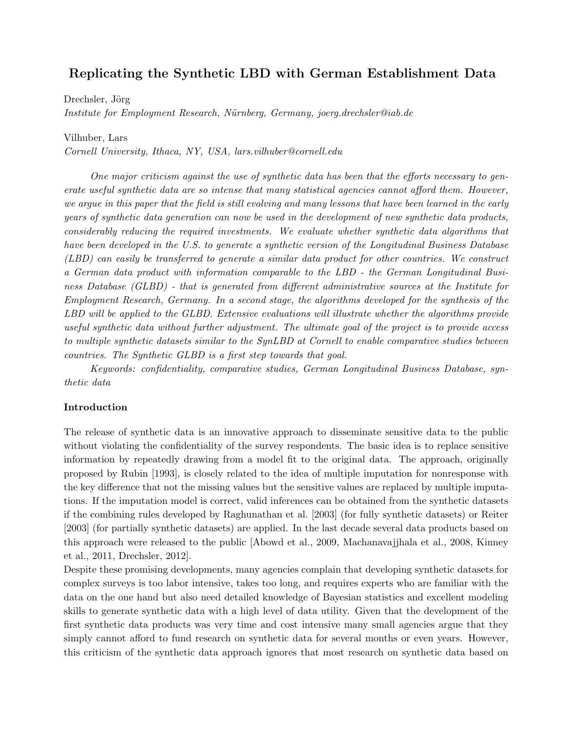# <span id="page-0-0"></span>Replicating the Synthetic LBD with German Establishment Data

Drechsler, Jörg

Institute for Employment Research, Nürnberg, Germany, joerg.drechsler@iab.de

Vilhuber, Lars

Cornell University, Ithaca, NY, USA, lars.vilhuber@cornell.edu

One major criticism against the use of synthetic data has been that the efforts necessary to generate useful synthetic data are so intense that many statistical agencies cannot afford them. However, we argue in this paper that the field is still evolving and many lessons that have been learned in the early years of synthetic data generation can now be used in the development of new synthetic data products, considerably reducing the required investments. We evaluate whether synthetic data algorithms that have been developed in the U.S. to generate a synthetic version of the Longitudinal Business Database (LBD) can easily be transferred to generate a similar data product for other countries. We construct a German data product with information comparable to the LBD - the German Longitudinal Business Database (GLBD) - that is generated from different administrative sources at the Institute for Employment Research, Germany. In a second stage, the algorithms developed for the synthesis of the LBD will be applied to the GLBD. Extensive evaluations will illustrate whether the algorithms provide useful synthetic data without further adjustment. The ultimate goal of the project is to provide access to multiple synthetic datasets similar to the SynLBD at Cornell to enable comparative studies between countries. The Synthetic GLBD is a first step towards that goal.

Keywords: confidentiality, comparative studies, German Longitudinal Business Database, synthetic data

#### Introduction

The release of synthetic data is an innovative approach to disseminate sensitive data to the public without violating the confidentiality of the survey respondents. The basic idea is to replace sensitive information by repeatedly drawing from a model fit to the original data. The approach, originally proposed by [Rubin](#page-5-0) [\[1993\]](#page-5-0), is closely related to the idea of multiple imputation for nonresponse with the key difference that not the missing values but the sensitive values are replaced by multiple imputations. If the imputation model is correct, valid inferences can be obtained from the synthetic datasets if the combining rules developed by [Raghunathan et al.](#page-5-1) [\[2003\]](#page-5-1) (for fully synthetic datasets) or [Reiter](#page-5-2) [\[2003\]](#page-5-2) (for partially synthetic datasets) are applied. In the last decade several data products based on this approach were released to the public [\[Abowd et al.,](#page-4-0) [2009,](#page-4-0) [Machanavajjhala et al.,](#page-5-3) [2008,](#page-5-3) [Kinney](#page-5-4) [et al.,](#page-5-4) [2011,](#page-5-4) [Drechsler,](#page-5-5) [2012\]](#page-5-5).

Despite these promising developments, many agencies complain that developing synthetic datasets for complex surveys is too labor intensive, takes too long, and requires experts who are familiar with the data on the one hand but also need detailed knowledge of Bayesian statistics and excellent modeling skills to generate synthetic data with a high level of data utility. Given that the development of the first synthetic data products was very time and cost intensive many small agencies argue that they simply cannot afford to fund research on synthetic data for several months or even years. However, this criticism of the synthetic data approach ignores that most research on synthetic data based on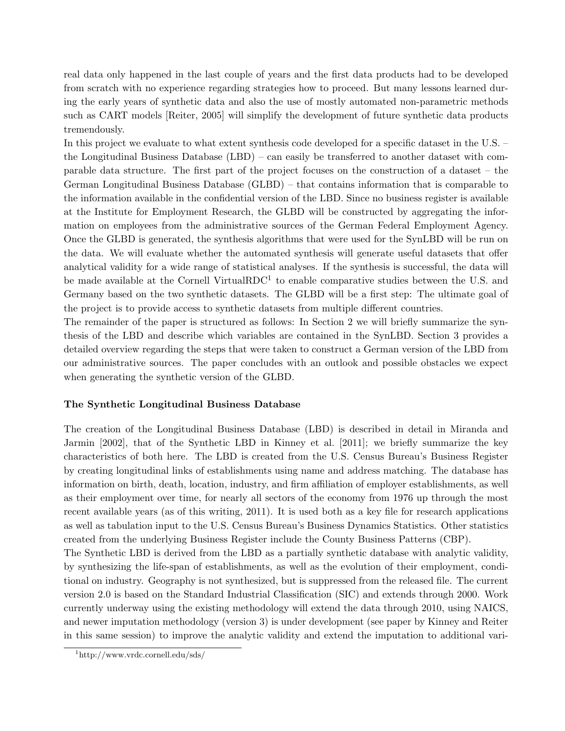real data only happened in the last couple of years and the first data products had to be developed from scratch with no experience regarding strategies how to proceed. But many lessons learned during the early years of synthetic data and also the use of mostly automated non-parametric methods such as CART models [\[Reiter,](#page-5-6) [2005\]](#page-5-6) will simplify the development of future synthetic data products tremendously.

In this project we evaluate to what extent synthesis code developed for a specific dataset in the U.S. – the Longitudinal Business Database (LBD) – can easily be transferred to another dataset with comparable data structure. The first part of the project focuses on the construction of a dataset – the German Longitudinal Business Database (GLBD) – that contains information that is comparable to the information available in the confidential version of the LBD. Since no business register is available at the Institute for Employment Research, the GLBD will be constructed by aggregating the information on employees from the administrative sources of the German Federal Employment Agency. Once the GLBD is generated, the synthesis algorithms that were used for the SynLBD will be run on the data. We will evaluate whether the automated synthesis will generate useful datasets that offer analytical validity for a wide range of statistical analyses. If the synthesis is successful, the data will be made available at the Cornell VirtualRDC<sup>[1](#page-1-0)</sup> to enable comparative studies between the U.S. and Germany based on the two synthetic datasets. The GLBD will be a first step: The ultimate goal of the project is to provide access to synthetic datasets from multiple different countries.

The remainder of the paper is structured as follows: In Section 2 we will briefly summarize the synthesis of the LBD and describe which variables are contained in the SynLBD. Section 3 provides a detailed overview regarding the steps that were taken to construct a German version of the LBD from our administrative sources. The paper concludes with an outlook and possible obstacles we expect when generating the synthetic version of the GLBD.

## The Synthetic Longitudinal Business Database

The creation of the Longitudinal Business Database (LBD) is described in detail in [Miranda and](#page-5-7) [Jarmin](#page-5-7) [\[2002\]](#page-5-7), that of the Synthetic LBD in [Kinney et al.](#page-5-4) [\[2011\]](#page-5-4); we briefly summarize the key characteristics of both here. The LBD is created from the U.S. Census Bureau's Business Register by creating longitudinal links of establishments using name and address matching. The database has information on birth, death, location, industry, and firm affiliation of employer establishments, as well as their employment over time, for nearly all sectors of the economy from 1976 up through the most recent available years (as of this writing, 2011). It is used both as a key file for research applications as well as tabulation input to the U.S. Census Bureau's Business Dynamics Statistics. Other statistics created from the underlying Business Register include the County Business Patterns (CBP).

The Synthetic LBD is derived from the LBD as a partially synthetic database with analytic validity, by synthesizing the life-span of establishments, as well as the evolution of their employment, conditional on industry. Geography is not synthesized, but is suppressed from the released file. The current version 2.0 is based on the Standard Industrial Classification (SIC) and extends through 2000. Work currently underway using the existing methodology will extend the data through 2010, using NAICS, and newer imputation methodology (version 3) is under development (see paper by Kinney and Reiter in this same session) to improve the analytic validity and extend the imputation to additional vari-

<span id="page-1-0"></span><sup>1</sup><http://www.vrdc.cornell.edu/sds/>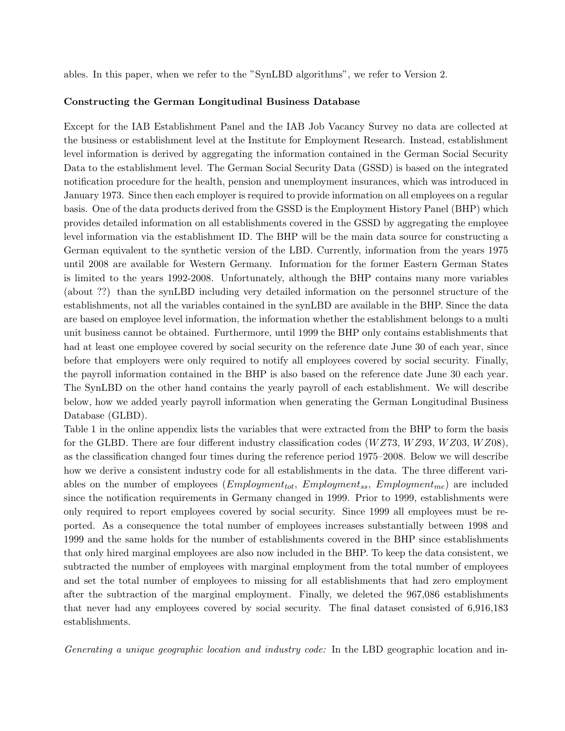ables. In this paper, when we refer to the "SynLBD algorithms", we refer to Version 2.

#### Constructing the German Longitudinal Business Database

Except for the IAB Establishment Panel and the IAB Job Vacancy Survey no data are collected at the business or establishment level at the Institute for Employment Research. Instead, establishment level information is derived by aggregating the information contained in the German Social Security Data to the establishment level. The German Social Security Data (GSSD) is based on the integrated notification procedure for the health, pension and unemployment insurances, which was introduced in January 1973. Since then each employer is required to provide information on all employees on a regular basis. One of the data products derived from the GSSD is the Employment History Panel (BHP) which provides detailed information on all establishments covered in the GSSD by aggregating the employee level information via the establishment ID. The BHP will be the main data source for constructing a German equivalent to the synthetic version of the LBD. Currently, information from the years 1975 until 2008 are available for Western Germany. Information for the former Eastern German States is limited to the years 1992-2008. Unfortunately, although the BHP contains many more variables (about ??) than the synLBD including very detailed information on the personnel structure of the establishments, not all the variables contained in the synLBD are available in the BHP. Since the data are based on employee level information, the information whether the establishment belongs to a multi unit business cannot be obtained. Furthermore, until 1999 the BHP only contains establishments that had at least one employee covered by social security on the reference date June 30 of each year, since before that employers were only required to notify all employees covered by social security. Finally, the payroll information contained in the BHP is also based on the reference date June 30 each year. The SynLBD on the other hand contains the yearly payroll of each establishment. We will describe below, how we added yearly payroll information when generating the German Longitudinal Business Database (GLBD).

Table [1](#page-0-0) in the [online appendix](http://digitalcommons.ilr.cornell.edu/ldi/11) lists the variables that were extracted from the BHP to form the basis for the GLBD. There are four different industry classification codes  $(WZ73, WZ93, WZ03, WZ08)$ , as the classification changed four times during the reference period 1975–2008. Below we will describe how we derive a consistent industry code for all establishments in the data. The three different variables on the number of employees ( $Emplogment_{tot}$ ,  $Emplogment_{ss}$ ,  $Emplogment_{me}$ ) are included since the notification requirements in Germany changed in 1999. Prior to 1999, establishments were only required to report employees covered by social security. Since 1999 all employees must be reported. As a consequence the total number of employees increases substantially between 1998 and 1999 and the same holds for the number of establishments covered in the BHP since establishments that only hired marginal employees are also now included in the BHP. To keep the data consistent, we subtracted the number of employees with marginal employment from the total number of employees and set the total number of employees to missing for all establishments that had zero employment after the subtraction of the marginal employment. Finally, we deleted the 967,086 establishments that never had any employees covered by social security. The final dataset consisted of 6,916,183 establishments.

Generating a unique geographic location and industry code: In the LBD geographic location and in-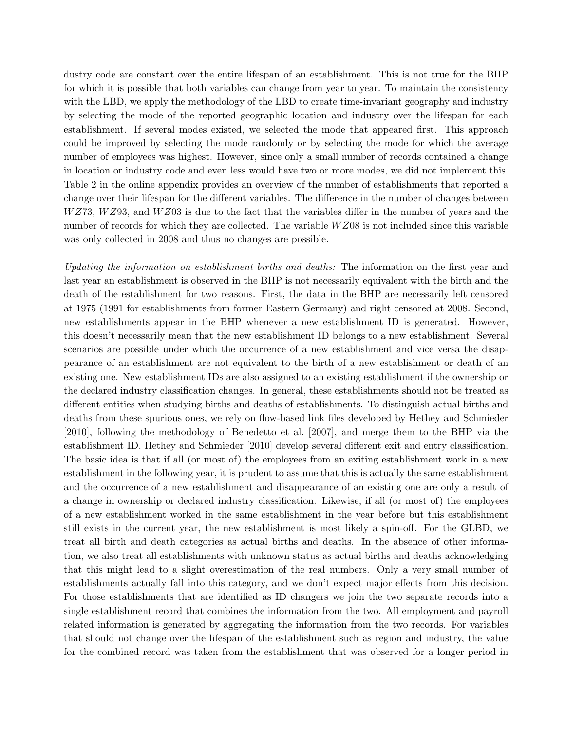dustry code are constant over the entire lifespan of an establishment. This is not true for the BHP for which it is possible that both variables can change from year to year. To maintain the consistency with the LBD, we apply the methodology of the LBD to create time-invariant geography and industry by selecting the mode of the reported geographic location and industry over the lifespan for each establishment. If several modes existed, we selected the mode that appeared first. This approach could be improved by selecting the mode randomly or by selecting the mode for which the average number of employees was highest. However, since only a small number of records contained a change in location or industry code and even less would have two or more modes, we did not implement this. Table [2](#page-0-0) in the [online appendix](http://digitalcommons.ilr.cornell.edu/ldi/11) provides an overview of the number of establishments that reported a change over their lifespan for the different variables. The difference in the number of changes between  $WZ$ 73,  $WZ$ 93, and  $WZ$ 03 is due to the fact that the variables differ in the number of years and the number of records for which they are collected. The variable  $WZ08$  is not included since this variable was only collected in 2008 and thus no changes are possible.

Updating the information on establishment births and deaths: The information on the first year and last year an establishment is observed in the BHP is not necessarily equivalent with the birth and the death of the establishment for two reasons. First, the data in the BHP are necessarily left censored at 1975 (1991 for establishments from former Eastern Germany) and right censored at 2008. Second, new establishments appear in the BHP whenever a new establishment ID is generated. However, this doesn't necessarily mean that the new establishment ID belongs to a new establishment. Several scenarios are possible under which the occurrence of a new establishment and vice versa the disappearance of an establishment are not equivalent to the birth of a new establishment or death of an existing one. New establishment IDs are also assigned to an existing establishment if the ownership or the declared industry classification changes. In general, these establishments should not be treated as different entities when studying births and deaths of establishments. To distinguish actual births and deaths from these spurious ones, we rely on flow-based link files developed by [Hethey and Schmieder](#page-5-8) [\[2010\]](#page-5-8), following the methodology of [Benedetto et al.](#page-4-1) [\[2007\]](#page-4-1), and merge them to the BHP via the establishment ID. [Hethey and Schmieder](#page-5-8) [\[2010\]](#page-5-8) develop several different exit and entry classification. The basic idea is that if all (or most of) the employees from an exiting establishment work in a new establishment in the following year, it is prudent to assume that this is actually the same establishment and the occurrence of a new establishment and disappearance of an existing one are only a result of a change in ownership or declared industry classification. Likewise, if all (or most of) the employees of a new establishment worked in the same establishment in the year before but this establishment still exists in the current year, the new establishment is most likely a spin-off. For the GLBD, we treat all birth and death categories as actual births and deaths. In the absence of other information, we also treat all establishments with unknown status as actual births and deaths acknowledging that this might lead to a slight overestimation of the real numbers. Only a very small number of establishments actually fall into this category, and we don't expect major effects from this decision. For those establishments that are identified as ID changers we join the two separate records into a single establishment record that combines the information from the two. All employment and payroll related information is generated by aggregating the information from the two records. For variables that should not change over the lifespan of the establishment such as region and industry, the value for the combined record was taken from the establishment that was observed for a longer period in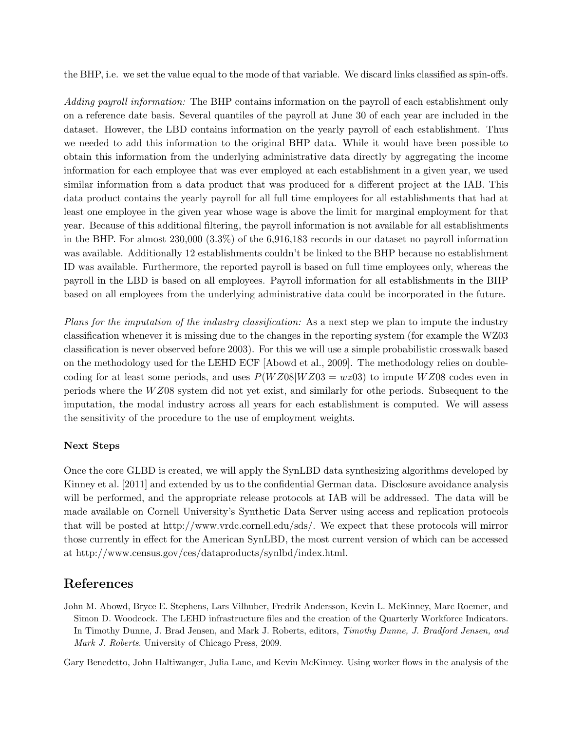the BHP, i.e. we set the value equal to the mode of that variable. We discard links classified as spin-offs.

Adding payroll information: The BHP contains information on the payroll of each establishment only on a reference date basis. Several quantiles of the payroll at June 30 of each year are included in the dataset. However, the LBD contains information on the yearly payroll of each establishment. Thus we needed to add this information to the original BHP data. While it would have been possible to obtain this information from the underlying administrative data directly by aggregating the income information for each employee that was ever employed at each establishment in a given year, we used similar information from a data product that was produced for a different project at the IAB. This data product contains the yearly payroll for all full time employees for all establishments that had at least one employee in the given year whose wage is above the limit for marginal employment for that year. Because of this additional filtering, the payroll information is not available for all establishments in the BHP. For almost 230,000 (3.3%) of the 6,916,183 records in our dataset no payroll information was available. Additionally 12 establishments couldn't be linked to the BHP because no establishment ID was available. Furthermore, the reported payroll is based on full time employees only, whereas the payroll in the LBD is based on all employees. Payroll information for all establishments in the BHP based on all employees from the underlying administrative data could be incorporated in the future.

Plans for the imputation of the industry classification: As a next step we plan to impute the industry classification whenever it is missing due to the changes in the reporting system (for example the WZ03 classification is never observed before 2003). For this we will use a simple probabilistic crosswalk based on the methodology used for the LEHD ECF [\[Abowd et al.,](#page-4-0) [2009\]](#page-4-0). The methodology relies on doublecoding for at least some periods, and uses  $P(WZ08|WZ03 = wz03)$  to impute WZ08 codes even in periods where the W Z08 system did not yet exist, and similarly for othe periods. Subsequent to the imputation, the modal industry across all years for each establishment is computed. We will assess the sensitivity of the procedure to the use of employment weights.

## Next Steps

Once the core GLBD is created, we will apply the SynLBD data synthesizing algorithms developed by [Kinney et al.](#page-5-4) [\[2011\]](#page-5-4) and extended by us to the confidential German data. Disclosure avoidance analysis will be performed, and the appropriate release protocols at IAB will be addressed. The data will be made available on Cornell University's Synthetic Data Server using access and replication protocols that will be posted at [http://www.vrdc.cornell.edu/sds/.](http://www.vrdc.cornell.edu/sds/) We expect that these protocols will mirror those currently in effect for the American SynLBD, the most current version of which can be accessed at [http://www.census.gov/ces/dataproducts/synlbd/index.html.](http://www.census.gov/ces/dataproducts/synlbd/index.html)

# References

<span id="page-4-0"></span>John M. Abowd, Bryce E. Stephens, Lars Vilhuber, Fredrik Andersson, Kevin L. McKinney, Marc Roemer, and Simon D. Woodcock. The LEHD infrastructure files and the creation of the Quarterly Workforce Indicators. In Timothy Dunne, J. Brad Jensen, and Mark J. Roberts, editors, Timothy Dunne, J. Bradford Jensen, and Mark J. Roberts. University of Chicago Press, 2009.

<span id="page-4-1"></span>Gary Benedetto, John Haltiwanger, Julia Lane, and Kevin McKinney. Using worker flows in the analysis of the